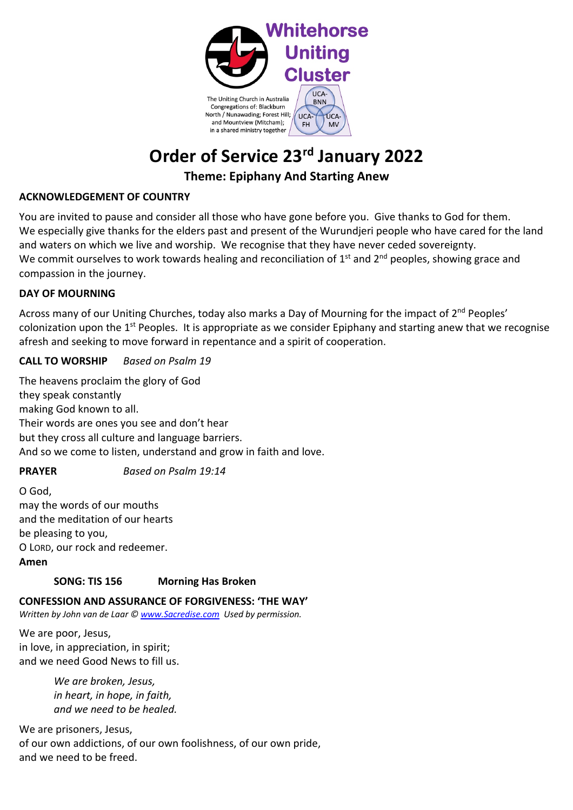

# **Order of Service 23rd January 2022**

# **Theme: Epiphany And Starting Anew**

### **ACKNOWLEDGEMENT OF COUNTRY**

You are invited to pause and consider all those who have gone before you. Give thanks to God for them. We especially give thanks for the elders past and present of the Wurundjeri people who have cared for the land and waters on which we live and worship. We recognise that they have never ceded sovereignty. We commit ourselves to work towards healing and reconciliation of 1<sup>st</sup> and 2<sup>nd</sup> peoples, showing grace and compassion in the journey.

## **DAY OF MOURNING**

Across many of our Uniting Churches, today also marks a Day of Mourning for the impact of 2<sup>nd</sup> Peoples' colonization upon the 1<sup>st</sup> Peoples. It is appropriate as we consider Epiphany and starting anew that we recognise afresh and seeking to move forward in repentance and a spirit of cooperation.

## **CALL TO WORSHIP** *Based on Psalm 19*

The heavens proclaim the glory of God they speak constantly making God known to all. Their words are ones you see and don't hear but they cross all culture and language barriers. And so we come to listen, understand and grow in faith and love.

# **PRAYER** *Based on Psalm 19:14*

O God, may the words of our mouths and the meditation of our hearts be pleasing to you, O LORD, our rock and redeemer. **Amen**

# **SONG: TIS 156 Morning Has Broken**

**CONFESSION AND ASSURANCE OF FORGIVENESS: 'THE WAY'**

*Written by John van de Laar © www.Sacredise.com Used by permission.*

We are poor, Jesus, in love, in appreciation, in spirit; and we need Good News to fill us.

> *We are broken, Jesus, in heart, in hope, in faith, and we need to be healed.*

We are prisoners, Jesus, of our own addictions, of our own foolishness, of our own pride, and we need to be freed.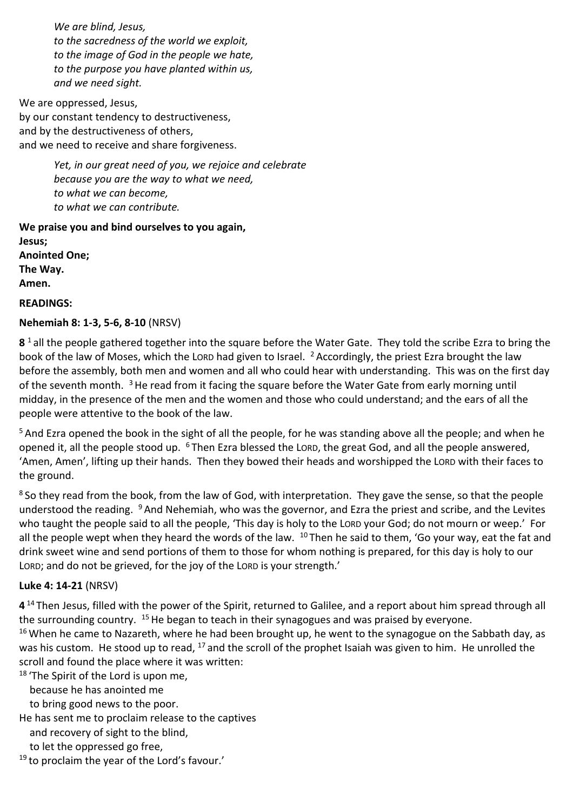*We are blind, Jesus, to the sacredness of the world we exploit, to the image of God in the people we hate, to the purpose you have planted within us, and we need sight.*

We are oppressed, Jesus, by our constant tendency to destructiveness, and by the destructiveness of others, and we need to receive and share forgiveness.

> *Yet, in our great need of you, we rejoice and celebrate because you are the way to what we need, to what we can become, to what we can contribute.*

**We praise you and bind ourselves to you again, Jesus; Anointed One; The Way. Amen. READINGS:**

## **Nehemiah 8: 1-3, 5-6, 8-10** (NRSV)

**8** <sup>1</sup> all the people gathered together into the square before the Water Gate. They told the scribe Ezra to bring the book of the law of Moses, which the LORD had given to Israel. <sup>2</sup> Accordingly, the priest Ezra brought the law before the assembly, both men and women and all who could hear with understanding. This was on the first day of the seventh month.  $3$  He read from it facing the square before the Water Gate from early morning until midday, in the presence of the men and the women and those who could understand; and the ears of all the people were attentive to the book of the law.

<sup>5</sup> And Ezra opened the book in the sight of all the people, for he was standing above all the people; and when he opened it, all the people stood up. <sup>6</sup> Then Ezra blessed the LORD, the great God, and all the people answered, 'Amen, Amen', lifting up their hands. Then they bowed their heads and worshipped the LORD with their faces to the ground.

<sup>8</sup> So they read from the book, from the law of God, with interpretation. They gave the sense, so that the people understood the reading. <sup>9</sup> And Nehemiah, who was the governor, and Ezra the priest and scribe, and the Levites who taught the people said to all the people, 'This day is holy to the LORD your God; do not mourn or weep.' For all the people wept when they heard the words of the law.  $10$  Then he said to them, 'Go your way, eat the fat and drink sweet wine and send portions of them to those for whom nothing is prepared, for this day is holy to our LORD; and do not be grieved, for the joy of the LORD is your strength.'

#### **Luke 4: 14-21** (NRSV)

**4** <sup>14</sup> Then Jesus, filled with the power of the Spirit, returned to Galilee, and a report about him spread through all the surrounding country. <sup>15</sup> He began to teach in their synagogues and was praised by everyone.

<sup>16</sup> When he came to Nazareth, where he had been brought up, he went to the synagogue on the Sabbath day, as was his custom. He stood up to read, <sup>17</sup> and the scroll of the prophet Isaiah was given to him. He unrolled the scroll and found the place where it was written:

<sup>18</sup> 'The Spirit of the Lord is upon me,

because he has anointed me

to bring good news to the poor.

He has sent me to proclaim release to the captives

and recovery of sight to the blind,

to let the oppressed go free,

<sup>19</sup> to proclaim the year of the Lord's favour.'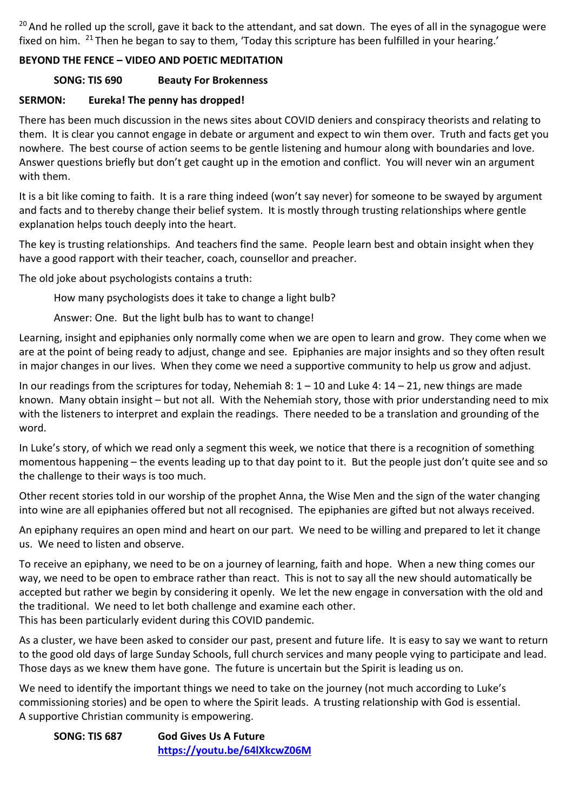<sup>20</sup> And he rolled up the scroll, gave it back to the attendant, and sat down. The eyes of all in the synagogue were fixed on him. <sup>21</sup> Then he began to say to them, 'Today this scripture has been fulfilled in your hearing.'

## **BEYOND THE FENCE – VIDEO AND POETIC MEDITATION**

## **SONG: TIS 690 Beauty For Brokenness**

## **SERMON: Eureka! The penny has dropped!**

There has been much discussion in the news sites about COVID deniers and conspiracy theorists and relating to them. It is clear you cannot engage in debate or argument and expect to win them over. Truth and facts get you nowhere. The best course of action seems to be gentle listening and humour along with boundaries and love. Answer questions briefly but don't get caught up in the emotion and conflict. You will never win an argument with them.

It is a bit like coming to faith. It is a rare thing indeed (won't say never) for someone to be swayed by argument and facts and to thereby change their belief system. It is mostly through trusting relationships where gentle explanation helps touch deeply into the heart.

The key is trusting relationships. And teachers find the same. People learn best and obtain insight when they have a good rapport with their teacher, coach, counsellor and preacher.

The old joke about psychologists contains a truth:

How many psychologists does it take to change a light bulb?

Answer: One. But the light bulb has to want to change!

Learning, insight and epiphanies only normally come when we are open to learn and grow. They come when we are at the point of being ready to adjust, change and see. Epiphanies are major insights and so they often result in major changes in our lives. When they come we need a supportive community to help us grow and adjust.

In our readings from the scriptures for today, Nehemiah 8: 1 – 10 and Luke 4: 14 – 21, new things are made known. Many obtain insight – but not all. With the Nehemiah story, those with prior understanding need to mix with the listeners to interpret and explain the readings. There needed to be a translation and grounding of the word.

In Luke's story, of which we read only a segment this week, we notice that there is a recognition of something momentous happening – the events leading up to that day point to it. But the people just don't quite see and so the challenge to their ways is too much.

Other recent stories told in our worship of the prophet Anna, the Wise Men and the sign of the water changing into wine are all epiphanies offered but not all recognised. The epiphanies are gifted but not always received.

An epiphany requires an open mind and heart on our part. We need to be willing and prepared to let it change us. We need to listen and observe.

To receive an epiphany, we need to be on a journey of learning, faith and hope. When a new thing comes our way, we need to be open to embrace rather than react. This is not to say all the new should automatically be accepted but rather we begin by considering it openly. We let the new engage in conversation with the old and the traditional. We need to let both challenge and examine each other. This has been particularly evident during this COVID pandemic.

As a cluster, we have been asked to consider our past, present and future life. It is easy to say we want to return to the good old days of large Sunday Schools, full church services and many people vying to participate and lead. Those days as we knew them have gone. The future is uncertain but the Spirit is leading us on.

We need to identify the important things we need to take on the journey (not much according to Luke's commissioning stories) and be open to where the Spirit leads. A trusting relationship with God is essential. A supportive Christian community is empowering.

**SONG: TIS 687 God Gives Us A Future https://youtu.be/64lXkcwZ06M**